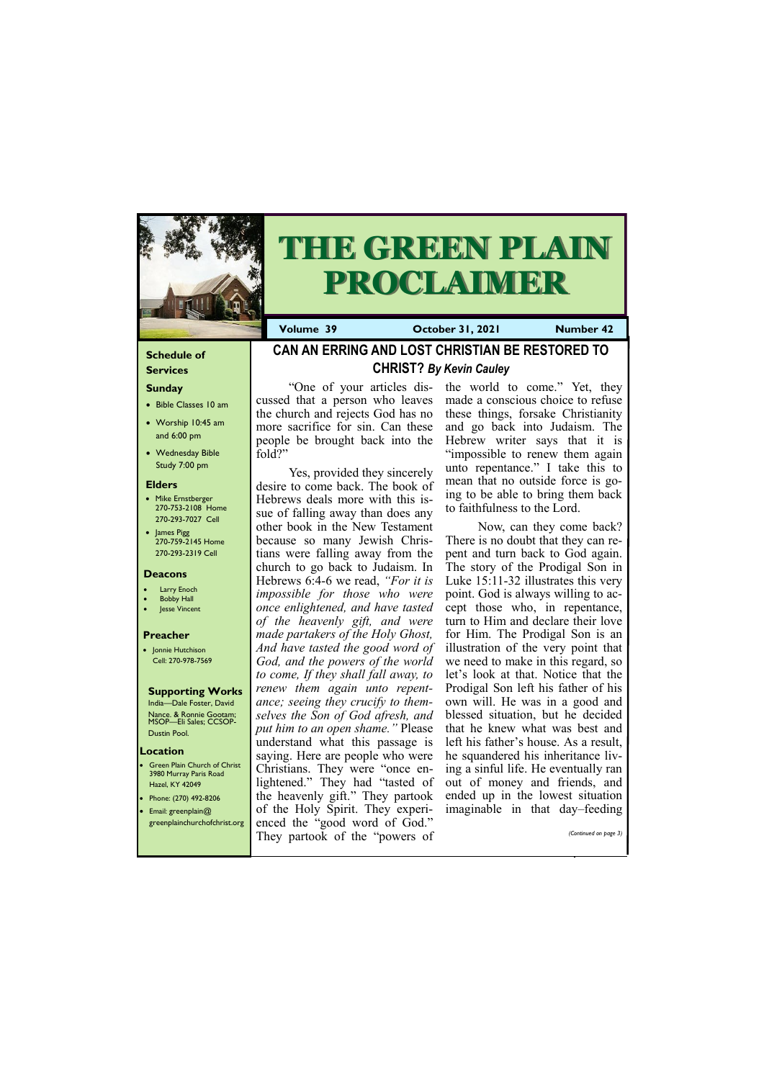#### **Schedule of Services**

### **Sunday**

- Bible Classes 10 am
- Worship 10:45 am and 6:00 pm
- Wednesday Bible Study 7:00 pm

#### **Elders**

Green Plain Church of Christ 3980 Murray Paris Road Hazel, KY 42049 • Phone: (270) 492-8206 • Email: greenplain@

- Mike Ernstberger 270-753-2108 Home 270-293-7027 Cell
- James Pigg 270-759-2145 Home 270-293-2319 Cell

#### **Location**



# **THE GREEN PLAIN PROCLAIMER**

**Volume 39 Corober 31, 2021 Number 42** 

#### **Deacons**

- Larry Enoch
- **Bobby Hall**
- Jesse Vincent

#### **Preacher**

• Jonnie Hutchison Cell: 270-978-7569

#### **Supporting Works**

India—Dale Foster, David Nance. & Ronnie Gootam; MSOP—Eli Sales; CCSOP-Dustin Pool.

**CAN AN ERRING AND LOST CHRISTIAN BE RESTORED TO CHRIST?** *By Kevin Cauley*

"One of your articles discussed that a person who leaves the church and rejects God has no more sacrifice for sin. Can these people be brought back into the fold?"

Yes, provided they sincerely desire to come back. The book of Hebrews deals more with this issue of falling away than does any other book in the New Testament because so many Jewish Christians were falling away from the church to go back to Judaism. In Hebrews 6:4-6 we read, *"For it is impossible for those who were once enlightened, and have tasted of the heavenly gift, and were made partakers of the Holy Ghost, And have tasted the good word of God, and the powers of the world to come, If they shall fall away, to renew them again unto repentance; seeing they crucify to themselves the Son of God afresh, and put him to an open shame."* Please understand what this passage is saying. Here are people who were Christians. They were "once enlightened." They had "tasted of the heavenly gift." They partook of the Holy Spirit. They experi-

| greenplainchurchofchrist.org enced the "good word of God." |                       |
|------------------------------------------------------------|-----------------------|
| They partook of the "powers of                             | (Continued on page 3) |
|                                                            |                       |

the world to come." Yet, they made a conscious choice to refuse these things, forsake Christianity and go back into Judaism. The Hebrew writer says that it is "impossible to renew them again unto repentance." I take this to mean that no outside force is going to be able to bring them back to faithfulness to the Lord.

Now, can they come back? There is no doubt that they can repent and turn back to God again. The story of the Prodigal Son in Luke 15:11-32 illustrates this very point. God is always willing to accept those who, in repentance, turn to Him and declare their love for Him. The Prodigal Son is an illustration of the very point that we need to make in this regard, so let's look at that. Notice that the Prodigal Son left his father of his own will. He was in a good and blessed situation, but he decided that he knew what was best and left his father's house. As a result, he squandered his inheritance living a sinful life. He eventually ran out of money and friends, and ended up in the lowest situation imaginable in that day–feeding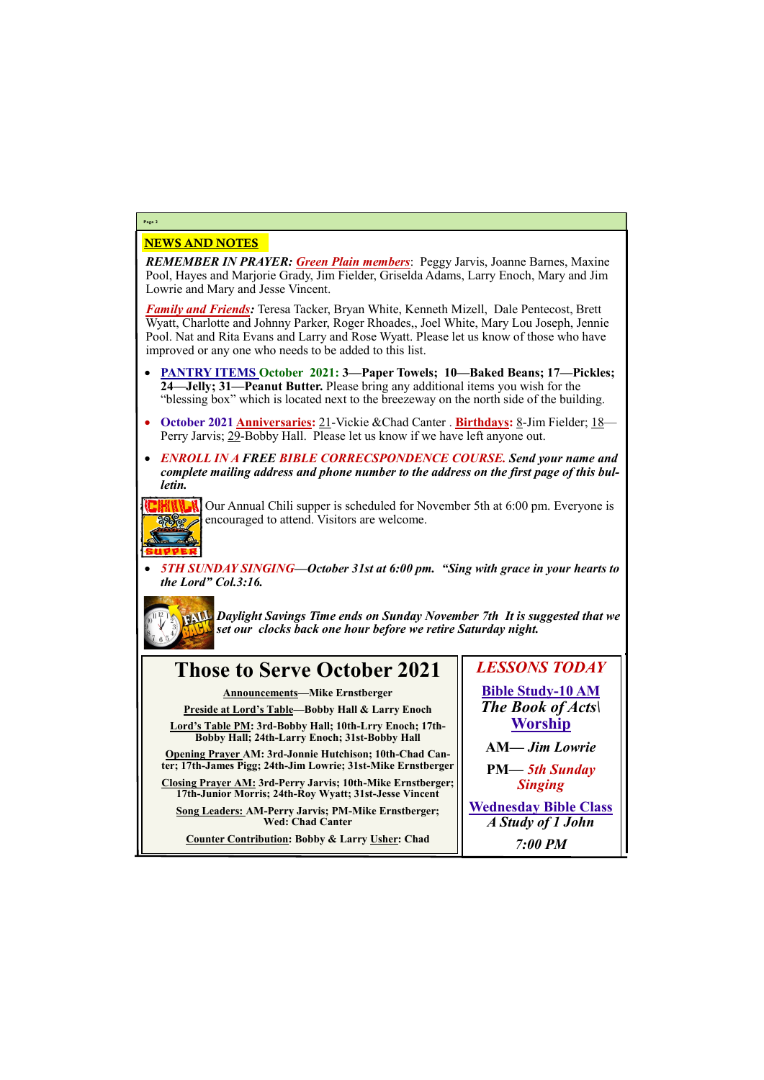#### NEWS AND NOTES

*REMEMBER IN PRAYER: Green Plain members*: Peggy Jarvis, Joanne Barnes, Maxine Pool, Hayes and Marjorie Grady, Jim Fielder, Griselda Adams, Larry Enoch, Mary and Jim Lowrie and Mary and Jesse Vincent.

*Family and Friends:* Teresa Tacker, Bryan White, Kenneth Mizell, Dale Pentecost, Brett Wyatt, Charlotte and Johnny Parker, Roger Rhoades,, Joel White, Mary Lou Joseph, Jennie Pool. Nat and Rita Evans and Larry and Rose Wyatt. Please let us know of those who have improved or any one who needs to be added to this list.

- **PANTRY ITEMS October 2021: 3—Paper Towels; 10—Baked Beans; 17—Pickles; 24—Jelly; 31—Peanut Butter.** Please bring any additional items you wish for the "blessing box" which is located next to the breezeway on the north side of the building.
- **October 2021 Anniversaries:** 21-Vickie &Chad Canter . **Birthdays:** 8-Jim Fielder; 18— Perry Jarvis; 29-Bobby Hall. Please let us know if we have left anyone out.
- *ENROLL IN A FREE BIBLE CORRECSPONDENCE COURSE. Send your name and complete mailing address and phone number to the address on the first page of this bulletin.*



Our Annual Chili supper is scheduled for November 5th at 6:00 pm. Everyone is encouraged to attend. Visitors are welcome.

• *5TH SUNDAY SINGING—October 31st at 6:00 pm. "Sing with grace in your hearts to the Lord" Col.3:16.*



*Daylight Savings Time ends on Sunday November 7th It is suggested that we set our clocks back one hour before we retire Saturday night.* 

### **Page 2**

## **Those to Serve October 2021**

**Announcements—Mike Ernstberger**

**Preside at Lord's Table—Bobby Hall & Larry Enoch**

**Lord's Table PM: 3rd-Bobby Hall; 10th-Lrry Enoch; 17th-Bobby Hall; 24th-Larry Enoch; 31st-Bobby Hall**

**Opening Prayer AM: 3rd-Jonnie Hutchison; 10th-Chad Canter; 17th-James Pigg; 24th-Jim Lowrie; 31st-Mike Ernstberger**

**Closing Prayer AM: 3rd-Perry Jarvis; 10th-Mike Ernstberger; 17th-Junior Morris; 24th-Roy Wyatt; 31st-Jesse Vincent**

**Song Leaders: AM-Perry Jarvis; PM-Mike Ernstberger;** 

*LESSONS TODAY*

**Bible Study-10 AM** *The Book of Acts\* **Worship**

| <b>Wed: Chad Canter</b>                         | A Study of 1 John |
|-------------------------------------------------|-------------------|
| Counter Contribution: Bobby & Larry Usher: Chad | $7:00$ PM         |

**AM***— Jim Lowrie*

**PM—** *5th Sunday Singing*

**Wednesday Bible Class**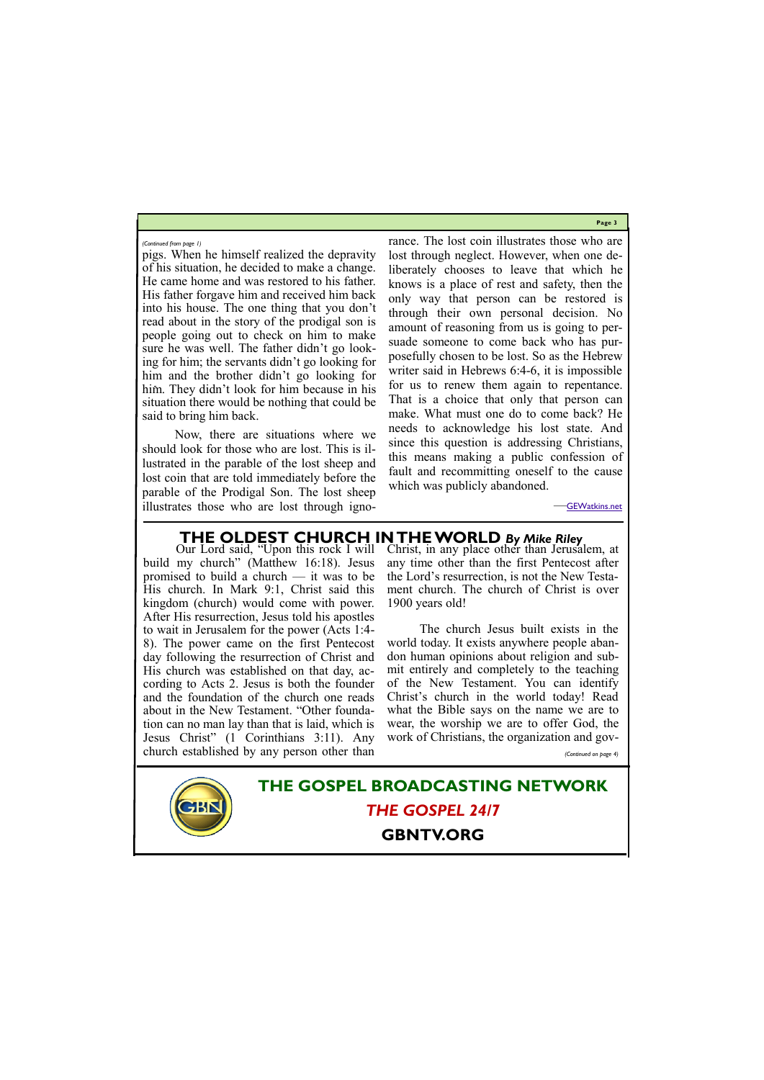**Page 3**

pigs. When he himself realized the depravity of his situation, he decided to make a change. He came home and was restored to his father. His father forgave him and received him back into his house. The one thing that you don't read about in the story of the prodigal son is people going out to check on him to make sure he was well. The father didn't go looking for him; the servants didn't go looking for him and the brother didn't go looking for him. They didn't look for him because in his situation there would be nothing that could be said to bring him back.

Now, there are situations where we should look for those who are lost. This is illustrated in the parable of the lost sheep and lost coin that are told immediately before the parable of the Prodigal Son. The lost sheep illustrates those who are lost through ignorance. The lost coin illustrates those who are lost through neglect. However, when one deliberately chooses to leave that which he knows is a place of rest and safety, then the only way that person can be restored is through their own personal decision. No amount of reasoning from us is going to persuade someone to come back who has purposefully chosen to be lost. So as the Hebrew writer said in Hebrews 6:4-6, it is impossible for us to renew them again to repentance. That is a choice that only that person can make. What must one do to come back? He needs to acknowledge his lost state. And since this question is addressing Christians, this means making a public confession of fault and recommitting oneself to the cause which was publicly abandoned.

—[GEWatkins.net](https://gewatkins.net/can-an-erring-and-lost-christian-be-restored-to-christ/)

*(Continued from page 1)*

**THE GOSPEL BROADCASTING NETWORK** *THE GOSPEL 24/7*

#### **GBNTV.ORG**

### **THE OLDEST CHURCH IN THE WORLD** *By Mike Riley*

build my church" (Matthew 16:18). Jesus promised to build a church — it was to be His church. In Mark 9:1, Christ said this kingdom (church) would come with power. After His resurrection, Jesus told his apostles to wait in Jerusalem for the power (Acts 1:4- 8). The power came on the first Pentecost day following the resurrection of Christ and His church was established on that day, according to Acts 2. Jesus is both the founder and the foundation of the church one reads about in the New Testament. "Other foundation can no man lay than that is laid, which is Jesus Christ" (1 Corinthians 3:11). Any church established by any person other than

Our Lord said, "Upon this rock I will Christ, in any place other than Jerusalem, at any time other than the first Pentecost after the Lord's resurrection, is not the New Testament church. The church of Christ is over 1900 years old!

> The church Jesus built exists in the world today. It exists anywhere people abandon human opinions about religion and submit entirely and completely to the teaching of the New Testament. You can identify Christ's church in the world today! Read what the Bible says on the name we are to wear, the worship we are to offer God, the work of Christians, the organization and gov-

> > *(Continued on page 4)*